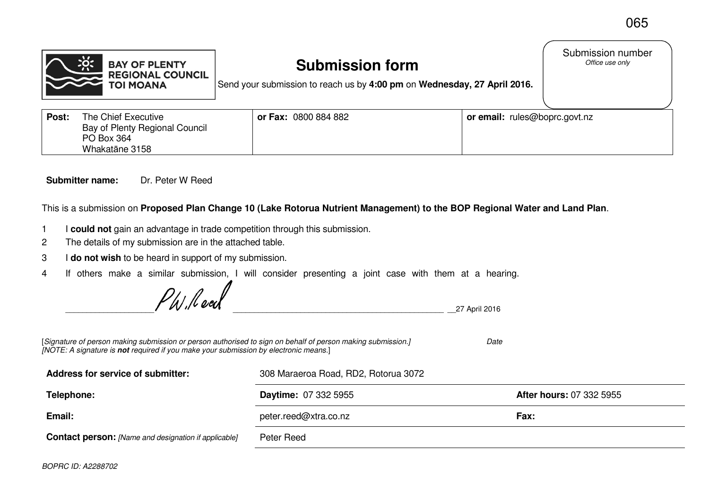

## **Submission form**  $\qquad \qquad$   $\qquad$  Office use only

Submission number

Send your submission to reach us by **4:00 pm** on **Wednesday, 27 April 2016.**

| Post: | The Chief Executive<br>Bay of Plenty Regional Council | $\vert$ or Fax: 0800 884 882 | <b>or email:</b> rules@boprc.govt.nz |
|-------|-------------------------------------------------------|------------------------------|--------------------------------------|
|       | <b>PO Box 364</b><br>Whakatāne 3158                   |                              |                                      |

**Submitter name:**Dr. Peter W Reed

This is a submission on **Proposed Plan Change 10 (Lake Rotorua Nutrient Management) to the BOP Regional Water and Land Plan**.

- 1 I **could not** gain an advantage in trade competition through this submission.
- 2 The details of my submission are in the attached table.
- 3 I **do not wish** to be heard in support of my submission.
- 4 If others make a similar submission, I will consider presenting a joint case with them at a hearing.

 $PM$ ,  $l$  eal  $\blacksquare$ 

| [Signature of person making submission or person authorised to sign on behalf of person making submission.]<br>[NOTE: A signature is <b>not</b> required if you make your submission by electronic means.] | Date                                 |                                 |
|------------------------------------------------------------------------------------------------------------------------------------------------------------------------------------------------------------|--------------------------------------|---------------------------------|
| Address for service of submitter:                                                                                                                                                                          | 308 Maraeroa Road, RD2, Rotorua 3072 |                                 |
| Telephone:                                                                                                                                                                                                 | <b>Daytime: 07 332 5955</b>          | <b>After hours: 07 332 5955</b> |
| Email:                                                                                                                                                                                                     | peter.reed@xtra.co.nz                | Fax:                            |
| <b>Contact person:</b> [Name and designation if applicable]                                                                                                                                                | Peter Reed                           |                                 |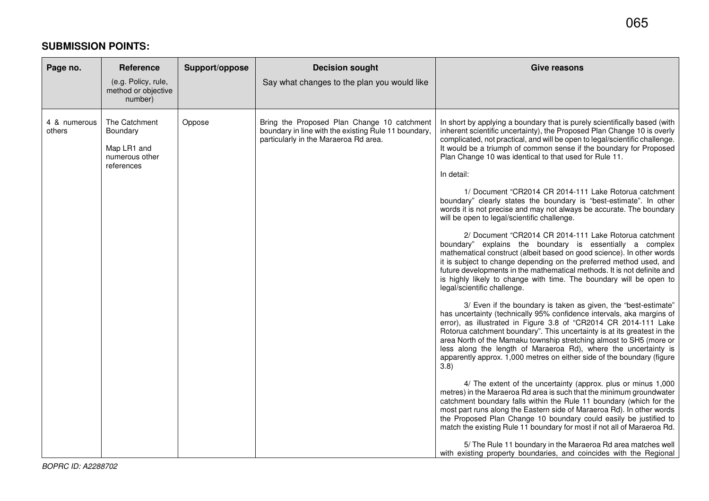## **SUBMISSION POINTS:**

| Page no.               | Reference<br>(e.g. Policy, rule,<br>method or objective<br>number)       | Support/oppose | <b>Decision sought</b><br>Say what changes to the plan you would like                                                                        | <b>Give reasons</b>                                                                                                                                                                                                                                                                                                                                                                                                                                                                                                                                                                                                                                                                                                                                                                                                                                                                                                                                                                                                                                                                                                                                                                                                                                                                                                                                                                                                                                                                                                                                                                                                                                                                                                                                                                                                                                                                                                                                                                                                                                                                                                                                                                                 |
|------------------------|--------------------------------------------------------------------------|----------------|----------------------------------------------------------------------------------------------------------------------------------------------|-----------------------------------------------------------------------------------------------------------------------------------------------------------------------------------------------------------------------------------------------------------------------------------------------------------------------------------------------------------------------------------------------------------------------------------------------------------------------------------------------------------------------------------------------------------------------------------------------------------------------------------------------------------------------------------------------------------------------------------------------------------------------------------------------------------------------------------------------------------------------------------------------------------------------------------------------------------------------------------------------------------------------------------------------------------------------------------------------------------------------------------------------------------------------------------------------------------------------------------------------------------------------------------------------------------------------------------------------------------------------------------------------------------------------------------------------------------------------------------------------------------------------------------------------------------------------------------------------------------------------------------------------------------------------------------------------------------------------------------------------------------------------------------------------------------------------------------------------------------------------------------------------------------------------------------------------------------------------------------------------------------------------------------------------------------------------------------------------------------------------------------------------------------------------------------------------------|
| 4 & numerous<br>others | The Catchment<br>Boundary<br>Map LR1 and<br>numerous other<br>references | Oppose         | Bring the Proposed Plan Change 10 catchment<br>boundary in line with the existing Rule 11 boundary,<br>particularly in the Maraeroa Rd area. | In short by applying a boundary that is purely scientifically based (with<br>inherent scientific uncertainty), the Proposed Plan Change 10 is overly<br>complicated, not practical, and will be open to legal/scientific challenge.<br>It would be a triumph of common sense if the boundary for Proposed<br>Plan Change 10 was identical to that used for Rule 11.<br>In detail:<br>1/ Document "CR2014 CR 2014-111 Lake Rotorua catchment<br>boundary" clearly states the boundary is "best-estimate". In other<br>words it is not precise and may not always be accurate. The boundary<br>will be open to legal/scientific challenge.<br>2/ Document "CR2014 CR 2014-111 Lake Rotorua catchment<br>boundary" explains the boundary is essentially a complex<br>mathematical construct (albeit based on good science). In other words<br>it is subject to change depending on the preferred method used, and<br>future developments in the mathematical methods. It is not definite and<br>is highly likely to change with time. The boundary will be open to<br>legal/scientific challenge.<br>3/ Even if the boundary is taken as given, the "best-estimate"<br>has uncertainty (technically 95% confidence intervals, aka margins of<br>error), as illustrated in Figure 3.8 of "CR2014 CR 2014-111 Lake<br>Rotorua catchment boundary". This uncertainty is at its greatest in the<br>area North of the Mamaku township stretching almost to SH5 (more or<br>less along the length of Maraeroa Rd), where the uncertainty is<br>apparently approx. 1,000 metres on either side of the boundary (figure<br>3.8)<br>4/ The extent of the uncertainty (approx. plus or minus 1,000<br>metres) in the Maraeroa Rd area is such that the minimum groundwater<br>catchment boundary falls within the Rule 11 boundary (which for the<br>most part runs along the Eastern side of Maraeroa Rd). In other words<br>the Proposed Plan Change 10 boundary could easily be justified to<br>match the existing Rule 11 boundary for most if not all of Maraeroa Rd.<br>5/ The Rule 11 boundary in the Maraeroa Rd area matches well<br>with existing property boundaries, and coincides with the Regional |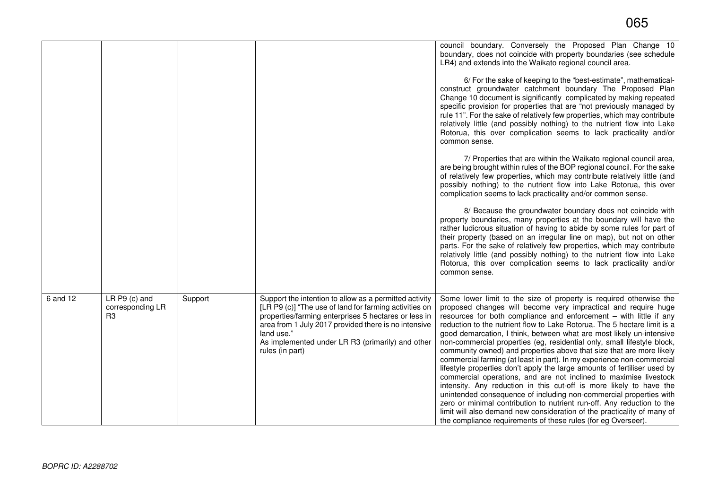|          |                                                      |         |                                                                                                                                                                                                                                                                                                                       | council boundary. Conversely the Proposed Plan Change 10<br>boundary, does not coincide with property boundaries (see schedule<br>LR4) and extends into the Waikato regional council area.                                                                                                                                                                                                                                                                                                                                                                                                                                                                                                                                                                                                                                                                                                                                                                                                                                                                                                                      |
|----------|------------------------------------------------------|---------|-----------------------------------------------------------------------------------------------------------------------------------------------------------------------------------------------------------------------------------------------------------------------------------------------------------------------|-----------------------------------------------------------------------------------------------------------------------------------------------------------------------------------------------------------------------------------------------------------------------------------------------------------------------------------------------------------------------------------------------------------------------------------------------------------------------------------------------------------------------------------------------------------------------------------------------------------------------------------------------------------------------------------------------------------------------------------------------------------------------------------------------------------------------------------------------------------------------------------------------------------------------------------------------------------------------------------------------------------------------------------------------------------------------------------------------------------------|
|          |                                                      |         |                                                                                                                                                                                                                                                                                                                       | 6/ For the sake of keeping to the "best-estimate", mathematical-<br>construct groundwater catchment boundary The Proposed Plan<br>Change 10 document is significantly complicated by making repeated<br>specific provision for properties that are "not previously managed by<br>rule 11". For the sake of relatively few properties, which may contribute<br>relatively little (and possibly nothing) to the nutrient flow into Lake<br>Rotorua, this over complication seems to lack practicality and/or<br>common sense.                                                                                                                                                                                                                                                                                                                                                                                                                                                                                                                                                                                     |
|          |                                                      |         |                                                                                                                                                                                                                                                                                                                       | 7/ Properties that are within the Waikato regional council area,<br>are being brought within rules of the BOP regional council. For the sake<br>of relatively few properties, which may contribute relatively little (and<br>possibly nothing) to the nutrient flow into Lake Rotorua, this over<br>complication seems to lack practicality and/or common sense.                                                                                                                                                                                                                                                                                                                                                                                                                                                                                                                                                                                                                                                                                                                                                |
|          |                                                      |         |                                                                                                                                                                                                                                                                                                                       | 8/ Because the groundwater boundary does not coincide with<br>property boundaries, many properties at the boundary will have the<br>rather ludicrous situation of having to abide by some rules for part of<br>their property (based on an irregular line on map), but not on other<br>parts. For the sake of relatively few properties, which may contribute<br>relatively little (and possibly nothing) to the nutrient flow into Lake<br>Rotorua, this over complication seems to lack practicality and/or<br>common sense.                                                                                                                                                                                                                                                                                                                                                                                                                                                                                                                                                                                  |
| 6 and 12 | $LRP9$ (c) and<br>corresponding LR<br>R <sub>3</sub> | Support | Support the intention to allow as a permitted activity<br>[LR P9 (c)] "The use of land for farming activities on<br>properties/farming enterprises 5 hectares or less in<br>area from 1 July 2017 provided there is no intensive<br>land use."<br>As implemented under LR R3 (primarily) and other<br>rules (in part) | Some lower limit to the size of property is required otherwise the<br>proposed changes will become very impractical and require huge<br>resources for both compliance and enforcement - with little if any<br>reduction to the nutrient flow to Lake Rotorua. The 5 hectare limit is a<br>good demarcation, I think, between what are most likely un-intensive<br>non-commercial properties (eg, residential only, small lifestyle block,<br>community owned) and properties above that size that are more likely<br>commercial farming (at least in part). In my experience non-commercial<br>lifestyle properties don't apply the large amounts of fertiliser used by<br>commercial operations, and are not inclined to maximise livestock<br>intensity. Any reduction in this cut-off is more likely to have the<br>unintended consequence of including non-commercial properties with<br>zero or minimal contribution to nutrient run-off. Any reduction to the<br>limit will also demand new consideration of the practicality of many of<br>the compliance requirements of these rules (for eg Overseer). |